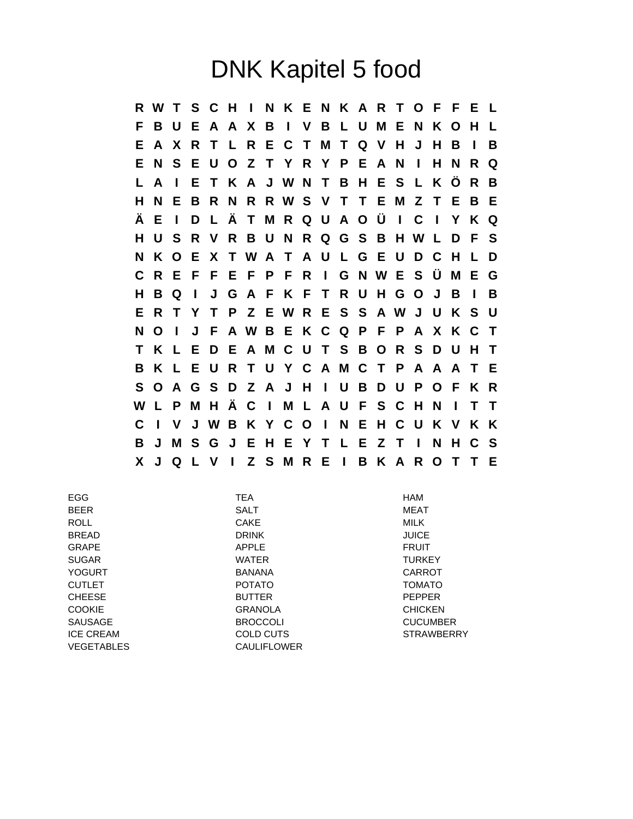## DNK Kapitel 5 food

**R W T S C H I N K E N K A R T O F F E L F B U E A A X B I V B L U M E N K O H L E A X R T L R E C T M T Q V H J H B I B E N S E U O Z T Y R Y P E A N I H N R Q L A I E T K A J W N T B H E S L K Ö R B H N E B R N R R W S V T T E M Z T E B E Ä E I D L Ä T M R Q U A O Ü I C I Y K Q H U S R V R B U N R Q G S B H W L D F S N K O E X T W A T A U L G E U D C H L D C R E F F E F P F R I G N W E S Ü M E G H B Q I J G A F K F T R U H G O J B I B E R T Y T P Z E W R E S S A W J U K S U N O I J F A W B E K C Q P F P A X K C T T K L E D E A M C U T S B O R S D U H T B K L E U R T U Y C A M C T P A A A T E S O A G S D Z A J H I U B D U P O F K R W L P M H Ä C I M L A U F S C H N I T T C I V J W B K Y C O I N E H C U K V K K B J M S G J E H E Y T L E Z T I N H C S X J Q L V I Z S M R E I B K A R O T T E**

| <b>EGG</b>        | <b>TEA</b>         | <b>HAM</b>        |
|-------------------|--------------------|-------------------|
| <b>BEER</b>       | <b>SALT</b>        | MEAT              |
| <b>ROLL</b>       | <b>CAKE</b>        | <b>MILK</b>       |
| <b>BREAD</b>      | <b>DRINK</b>       | <b>JUICE</b>      |
| <b>GRAPE</b>      | APPLE              | <b>FRUIT</b>      |
| <b>SUGAR</b>      | <b>WATER</b>       | <b>TURKEY</b>     |
| <b>YOGURT</b>     | <b>BANANA</b>      | <b>CARROT</b>     |
| <b>CUTLET</b>     | <b>POTATO</b>      | <b>TOMATO</b>     |
| <b>CHEESE</b>     | <b>BUTTER</b>      | <b>PEPPER</b>     |
| <b>COOKIE</b>     | <b>GRANOLA</b>     | <b>CHICKEN</b>    |
| <b>SAUSAGE</b>    | <b>BROCCOLI</b>    | <b>CUCUMBER</b>   |
| <b>ICE CREAM</b>  | COLD CUTS          | <b>STRAWBERRY</b> |
| <b>VEGETABLES</b> | <b>CAULIFLOWER</b> |                   |